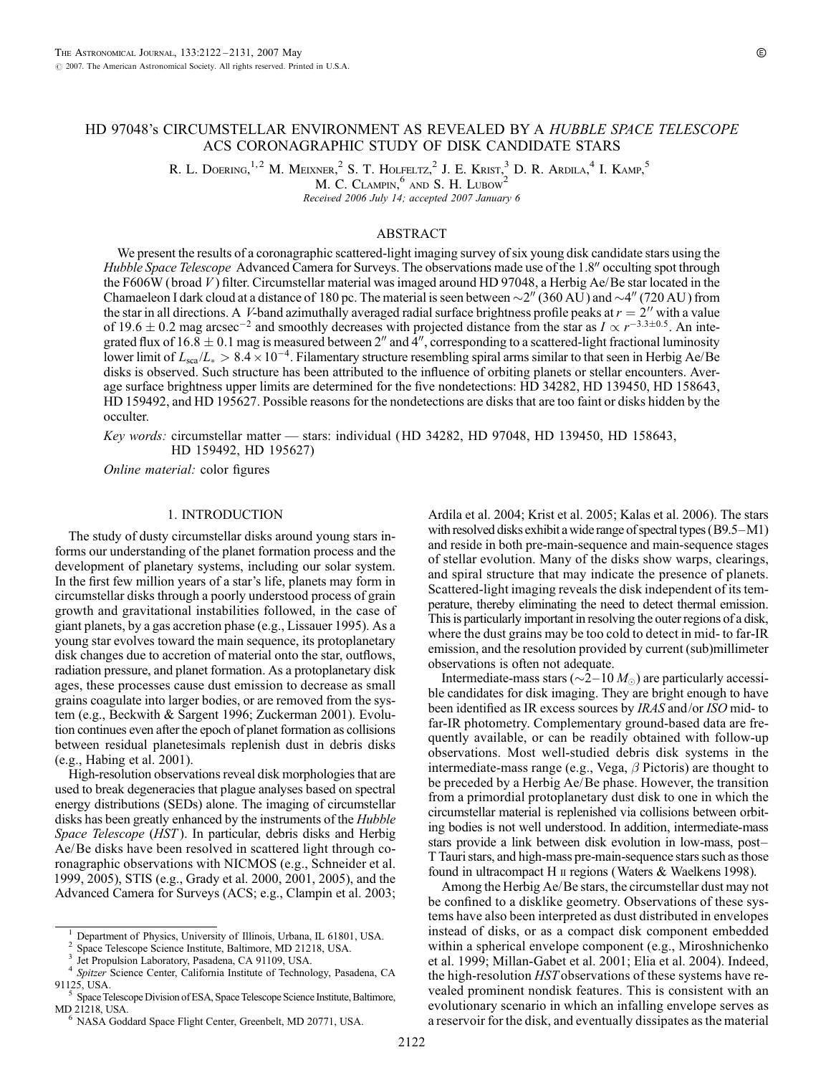R. L. DOERING, <sup>1, 2</sup> M. MEIXNER, <sup>2</sup> S. T. HOLFELTZ, <sup>2</sup> J. E. KRIST, <sup>3</sup> D. R. ARDILA, <sup>4</sup> I. KAMP, <sup>5</sup>

M. C. CLAMPIN,<sup>6</sup> AND S. H. LUBOW<sup>2</sup>

Received 2006 July 14; accepted 2007 January 6

# ABSTRACT

We present the results of a coronagraphic scattered-light imaging survey of six young disk candidate stars using the Hubble Space Telescope Advanced Camera for Surveys. The observations made use of the 1.8" occulting spot through the F606W (broad V) filter. Circumstellar material was imaged around HD 97048, a Herbig Ae/Be star located in the Chamaeleon I dark cloud at a distance of 180 pc. The material is seen between  $\sim$ 2" (360 AU) and  $\sim$ 4" (720 AU) from the star in all directions. A V-band azimuthally averaged radial surface brightness profile peaks at  $r = 2$ <sup>"</sup> with a value of 19.6  $\pm$  0.2 mag arcsec<sup>-2</sup> and smoothly decreases with projected distance from the star as  $I \propto r^{-3.3\pm0.5}$ . An integrated flux of  $16.8 \pm 0.1$  mag is measured between 2" and 4", corresponding to a scattered-light fractional luminosity lower limit of  $L_{\rm sca}/L_* > 8.4 \times 10^{-4}$ . Filamentary structure resembling spiral arms similar to that seen in Herbig Ae/Be disks is observed. Such structure has been attributed to the influence of orbiting planets or stellar encounters. Average surface brightness upper limits are determined for the five nondetections: HD 34282, HD 139450, HD 158643, HD 159492, and HD 195627. Possible reasons for the nondetections are disks that are too faint or disks hidden by the occulter.

Key words: circumstellar matter — stars: individual (HD 34282, HD 97048, HD 139450, HD 158643, HD 159492, HD 195627)

Online material: color figures

# 1. INTRODUCTION

The study of dusty circumstellar disks around young stars informs our understanding of the planet formation process and the development of planetary systems, including our solar system. In the first few million years of a star's life, planets may form in circumstellar disks through a poorly understood process of grain growth and gravitational instabilities followed, in the case of giant planets, by a gas accretion phase (e.g., Lissauer 1995). As a young star evolves toward the main sequence, its protoplanetary disk changes due to accretion of material onto the star, outflows, radiation pressure, and planet formation. As a protoplanetary disk ages, these processes cause dust emission to decrease as small grains coagulate into larger bodies, or are removed from the system (e.g., Beckwith & Sargent 1996; Zuckerman 2001). Evolution continues even after the epoch of planet formation as collisions between residual planetesimals replenish dust in debris disks (e.g., Habing et al. 2001).

High-resolution observations reveal disk morphologies that are used to break degeneracies that plague analyses based on spectral energy distributions (SEDs) alone. The imaging of circumstellar disks has been greatly enhanced by the instruments of the *Hubble* Space Telescope (HST). In particular, debris disks and Herbig Ae/Be disks have been resolved in scattered light through coronagraphic observations with NICMOS (e.g., Schneider et al. 1999, 2005), STIS (e.g., Grady et al. 2000, 2001, 2005), and the Advanced Camera for Surveys (ACS; e.g., Clampin et al. 2003; Ardila et al. 2004; Krist et al. 2005; Kalas et al. 2006). The stars with resolved disks exhibit a wide range of spectral types  $(B9.5-M1)$ and reside in both pre-main-sequence and main-sequence stages of stellar evolution. Many of the disks show warps, clearings, and spiral structure that may indicate the presence of planets. Scattered-light imaging reveals the disk independent of its temperature, thereby eliminating the need to detect thermal emission. This is particularly important in resolving the outer regions of a disk, where the dust grains may be too cold to detect in mid- to far-IR emission, and the resolution provided by current (sub)millimeter observations is often not adequate.

Intermediate-mass stars ( $\sim$ 2-10  $M_{\odot}$ ) are particularly accessible candidates for disk imaging. They are bright enough to have been identified as IR excess sources by IRAS and/or ISO mid- to far-IR photometry. Complementary ground-based data are frequently available, or can be readily obtained with follow-up observations. Most well-studied debris disk systems in the intermediate-mass range (e.g., Vega,  $\beta$  Pictoris) are thought to be preceded by a Herbig Ae/Be phase. However, the transition from a primordial protoplanetary dust disk to one in which the circumstellar material is replenished via collisions between orbiting bodies is not well understood. In addition, intermediate-mass stars provide a link between disk evolution in low-mass, post-T Tauri stars, and high-mass pre-main-sequence stars such as those found in ultracompact H ii regions (Waters & Waelkens 1998).

Among the Herbig Ae/Be stars, the circumstellar dust may not be confined to a disklike geometry. Observations of these systems have also been interpreted as dust distributed in envelopes instead of disks, or as a compact disk component embedded within a spherical envelope component (e.g., Miroshnichenko et al. 1999; Millan-Gabet et al. 2001; Elia et al. 2004). Indeed, the high-resolution HST observations of these systems have revealed prominent nondisk features. This is consistent with an evolutionary scenario in which an infalling envelope serves as a reservoir for the disk, and eventually dissipates as the material

<sup>&</sup>lt;sup>1</sup> Department of Physics, University of Illinois, Urbana, IL 61801, USA.<br><sup>2</sup> Space Telescope Science Institute, Baltimore, MD 21218, USA.<br><sup>3</sup> Jet Propulsion Laboratory, Pasadena, CA 91109, USA.<br><sup>4</sup> Spitzer Science Center

Space Telescope Division of ESA, Space Telescope Science Institute, Baltimore,

MD 21218, USA.<br><sup>6</sup> NASA Goddard Space Flight Center, Greenbelt, MD 20771, USA.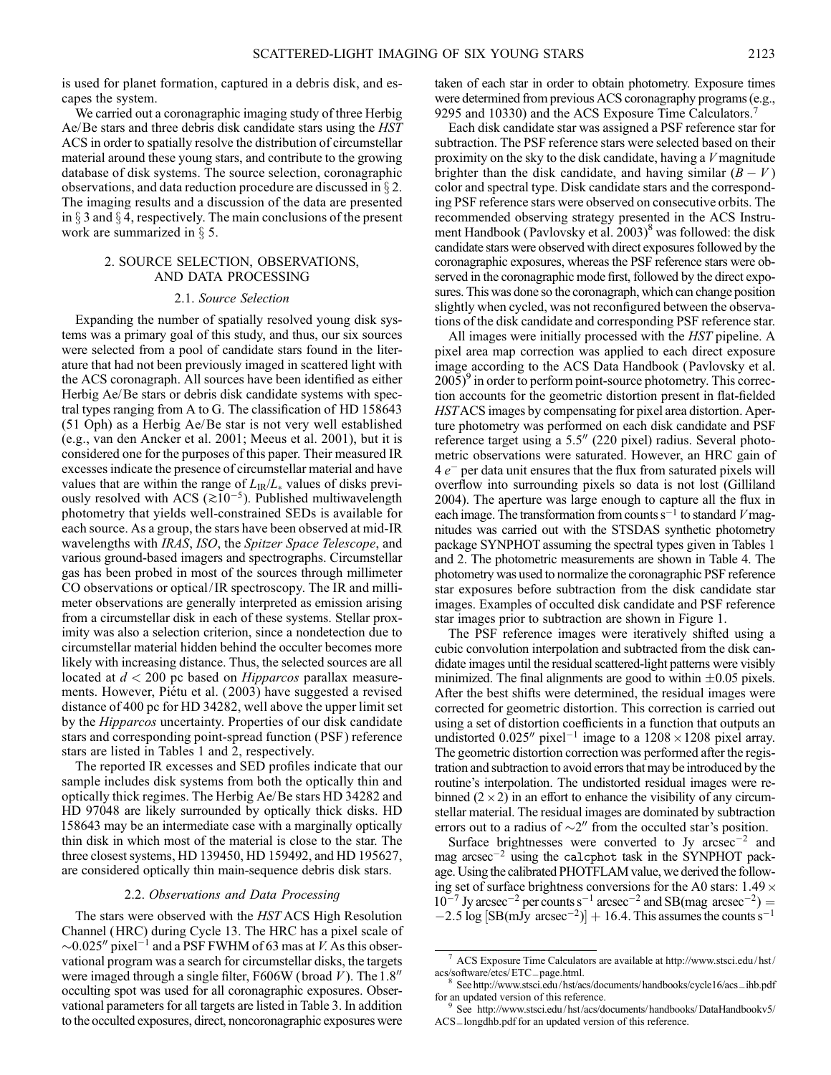is used for planet formation, captured in a debris disk, and escapes the system.

We carried out a coronagraphic imaging study of three Herbig Ae/Be stars and three debris disk candidate stars using the HST ACS in order to spatially resolve the distribution of circumstellar material around these young stars, and contribute to the growing database of disk systems. The source selection, coronagraphic observations, and data reduction procedure are discussed in  $\S 2$ . The imaging results and a discussion of the data are presented in  $\S$  3 and  $\S$  4, respectively. The main conclusions of the present work are summarized in  $\S$  5.

### 2. SOURCE SELECTION, OBSERVATIONS, AND DATA PROCESSING

### 2.1. Source Selection

Expanding the number of spatially resolved young disk systems was a primary goal of this study, and thus, our six sources were selected from a pool of candidate stars found in the literature that had not been previously imaged in scattered light with the ACS coronagraph. All sources have been identified as either Herbig Ae/Be stars or debris disk candidate systems with spectral types ranging from A to G. The classification of HD 158643 (51 Oph) as a Herbig Ae/Be star is not very well established (e.g., van den Ancker et al. 2001; Meeus et al. 2001), but it is considered one for the purposes of this paper. Their measured IR excesses indicate the presence of circumstellar material and have values that are within the range of  $L_{IR}/L_{*}$  values of disks previously resolved with ACS ( $\gtrsim 10^{-5}$ ). Published multiwavelength photometry that yields well-constrained SEDs is available for each source. As a group, the stars have been observed at mid-IR wavelengths with IRAS, ISO, the Spitzer Space Telescope, and various ground-based imagers and spectrographs. Circumstellar gas has been probed in most of the sources through millimeter CO observations or optical/ IR spectroscopy. The IR and millimeter observations are generally interpreted as emission arising from a circumstellar disk in each of these systems. Stellar proximity was also a selection criterion, since a nondetection due to circumstellar material hidden behind the occulter becomes more likely with increasing distance. Thus, the selected sources are all located at  $d < 200$  pc based on *Hipparcos* parallax measurements. However, Piétu et al. (2003) have suggested a revised distance of 400 pc for HD 34282, well above the upper limit set by the *Hipparcos* uncertainty. Properties of our disk candidate stars and corresponding point-spread function (PSF ) reference stars are listed in Tables 1 and 2, respectively.

The reported IR excesses and SED profiles indicate that our sample includes disk systems from both the optically thin and optically thick regimes. The Herbig Ae/Be stars HD 34282 and HD 97048 are likely surrounded by optically thick disks. HD 158643 may be an intermediate case with a marginally optically thin disk in which most of the material is close to the star. The three closest systems, HD 139450, HD 159492, and HD 195627, are considered optically thin main-sequence debris disk stars.

#### 2.2. Observations and Data Processing

The stars were observed with the HST ACS High Resolution Channel (HRC) during Cycle 13. The HRC has a pixel scale of  $\sim$ 0.025" pixel<sup>-1</sup> and a PSF FWHM of 63 mas at *V*. As this observational program was a search for circumstellar disks, the targets were imaged through a single filter, F606W (broad  $V$ ). The 1.8" occulting spot was used for all coronagraphic exposures. Observational parameters for all targets are listed in Table 3. In addition to the occulted exposures, direct, noncoronagraphic exposures were taken of each star in order to obtain photometry. Exposure times were determined from previous ACS coronagraphy programs (e.g., 9295 and 10330) and the ACS Exposure Time Calculators.7

Each disk candidate star was assigned a PSF reference star for subtraction. The PSF reference stars were selected based on their proximity on the sky to the disk candidate, having a  $V$  magnitude brighter than the disk candidate, and having similar  $(B - V)$ color and spectral type. Disk candidate stars and the corresponding PSF reference stars were observed on consecutive orbits. The recommended observing strategy presented in the ACS Instrument Handbook (Pavlovsky et al. 2003)<sup>8</sup> was followed: the disk candidate stars were observed with direct exposures followed by the coronagraphic exposures, whereas the PSF reference stars were observed in the coronagraphic mode first, followed by the direct exposures. This was done so the coronagraph, which can change position slightly when cycled, was not reconfigured between the observations of the disk candidate and corresponding PSF reference star.

All images were initially processed with the *HST* pipeline. A pixel area map correction was applied to each direct exposure image according to the ACS Data Handbook (Pavlovsky et al.  $2005$ <sup>9</sup> in order to perform point-source photometry. This correction accounts for the geometric distortion present in flat-fielded HSTACS images by compensating for pixel area distortion. Aperture photometry was performed on each disk candidate and PSF reference target using a  $5.5''$  (220 pixel) radius. Several photometric observations were saturated. However, an HRC gain of 4  $e^-$  per data unit ensures that the flux from saturated pixels will overflow into surrounding pixels so data is not lost (Gilliland 2004). The aperture was large enough to capture all the flux in each image. The transformation from counts  $s^{-1}$  to standard V magnitudes was carried out with the STSDAS synthetic photometry package SYNPHOT assuming the spectral types given in Tables 1 and 2. The photometric measurements are shown in Table 4. The photometry was used to normalize the coronagraphic PSF reference star exposures before subtraction from the disk candidate star images. Examples of occulted disk candidate and PSF reference star images prior to subtraction are shown in Figure 1.

The PSF reference images were iteratively shifted using a cubic convolution interpolation and subtracted from the disk candidate images until the residual scattered-light patterns were visibly minimized. The final alignments are good to within  $\pm 0.05$  pixels. After the best shifts were determined, the residual images were corrected for geometric distortion. This correction is carried out using a set of distortion coefficients in a function that outputs an undistorted 0.025" pixel<sup>-1</sup> image to a  $1208 \times 1208$  pixel array. The geometric distortion correction was performed after the registration and subtraction to avoid errors that may be introduced by the routine's interpolation. The undistorted residual images were rebinned  $(2 \times 2)$  in an effort to enhance the visibility of any circumstellar material. The residual images are dominated by subtraction errors out to a radius of  $\sim$ 2" from the occulted star's position.

Surface brightnesses were converted to Jy  $\arccos 2$  and mag arcsec $^{-2}$  using the calcphot task in the SYNPHOT package. Using the calibrated PHOTFLAM value, we derived the following set of surface brightness conversions for the A0 stars:  $1.49 \times$  $10^{-7}$  Jy arcsec<sup>-2</sup> per counts s<sup>-1</sup> arcsec<sup>-2</sup> and SB(mag arcsec<sup>-2</sup>) =  $-2.5 \log \left[\text{SB(mJy arcsec}^{-2})\right] + 16.4$ . This assumes the counts s<sup>-1</sup>

 $^7$  ACS Exposure Time Calculators are available at http://www.stsci.edu/hst/  $\,$ 

acs/software/etcs/ETC\_page.html.<br><sup>8</sup> See http://www.stsci.edu/ hst/acs/documents/ handbooks/cycle16/acs\_ihb.pdf<br>for an updated version of this reference.<br><sup>9</sup> See http://www.stsci.edu/ het/acs/documents/ hondbooks/C2-t-LL 1

See http://www.stsci.edu/hst/acs/documents/ handbooks/DataHandbookv5/ ACS\_ longdhb.pdf for an updated version of this reference.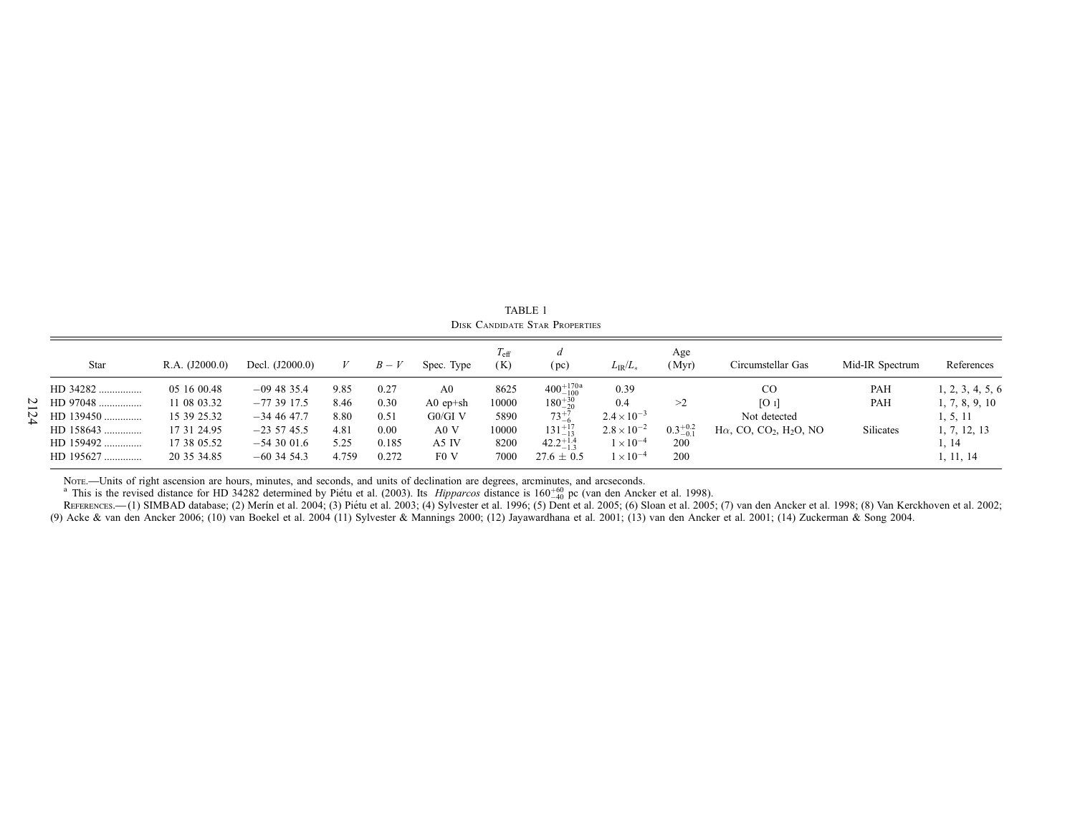| Star        | R.A. (J2000.0) | Decl. (J2000.0) |       | $B-V$ | Spec. Type       | $I_{\text{eff}}$<br>(K) | a<br>(pc)            | $L_{IR}/L_{*}$       | Age<br>(Myr)        | Circumstellar Gas                                      | Mid-IR Spectrum | References       |
|-------------|----------------|-----------------|-------|-------|------------------|-------------------------|----------------------|----------------------|---------------------|--------------------------------------------------------|-----------------|------------------|
| HD 34282    | 05 16 00.48    | $-09$ 48 35.4   | 9.85  | 0.27  | A <sub>0</sub>   | 8625                    | $400^{+170a}_{-100}$ | 0.39                 |                     | <sub>CO</sub>                                          | PAH             | 1, 2, 3, 4, 5, 6 |
| HD 97048    | 11 08 03.32    | $-773917.5$     | 8.46  | 0.30  | $A0$ ep+sh       | 10000                   | $180^{+30}_{-20}$    | 0.4                  | >2                  | [O]                                                    | PAH             | 1, 7, 8, 9, 10   |
| HD 139450   | 15 39 25.32    | $-34$ 46 47.7   | 8.80  | 0.51  | $G0/GI$ V        | 5890                    | $73^{+7}_{-6}$       | $2.4 \times 10^{-3}$ |                     | Not detected                                           |                 | 1, 5, 11         |
| $HD$ 158643 | 17 31 24.95    | $-23, 57, 45.5$ | 4.81  | 0.00  | A0 V             | 10000                   | $131^{+17}_{-13}$    | $2.8 \times 10^{-2}$ | $0.3^{+0.2}_{-0.1}$ | $H\alpha$ , CO, CO <sub>2</sub> , H <sub>2</sub> O, NO | Silicates       | 1, 7, 12, 13     |
| HD 159492   | 17 38 05.52    | $-543001.6$     | 5.25  | 0.185 | A5 IV            | 8200                    | $42.2^{+1.4}_{-1.3}$ | $\times 10^{-4}$     | 200                 |                                                        |                 | 1, 14            |
| HD 195627   | 20 35 34.85    | $-60$ 34 54.3   | 4.759 | 0.272 | F <sub>0</sub> V | 7000                    | $27.6 \pm 0.5$       | $1\times10^{-4}$     | 200                 |                                                        |                 | 1, 11, 14        |

TABLE 1 Disk Candidate Star Properties

Nore.—Units of right ascension are hours, minutes, and seconds, and units of declination are degrees, arcminutes, and arcseconds.<br><sup>a</sup> This is the revised distance for HD 34282 determined by Piétu et al. (2003). Its *Hippar* (9) Acke & van den Ancker 2006; (10) van Boekel et al. 2004 (11) Sylvester & Mannings 2000; (12) Jayawardhana et al. 2001; (13) van den Ancker et al. 2001; (14) Zuckerman & Song 2004.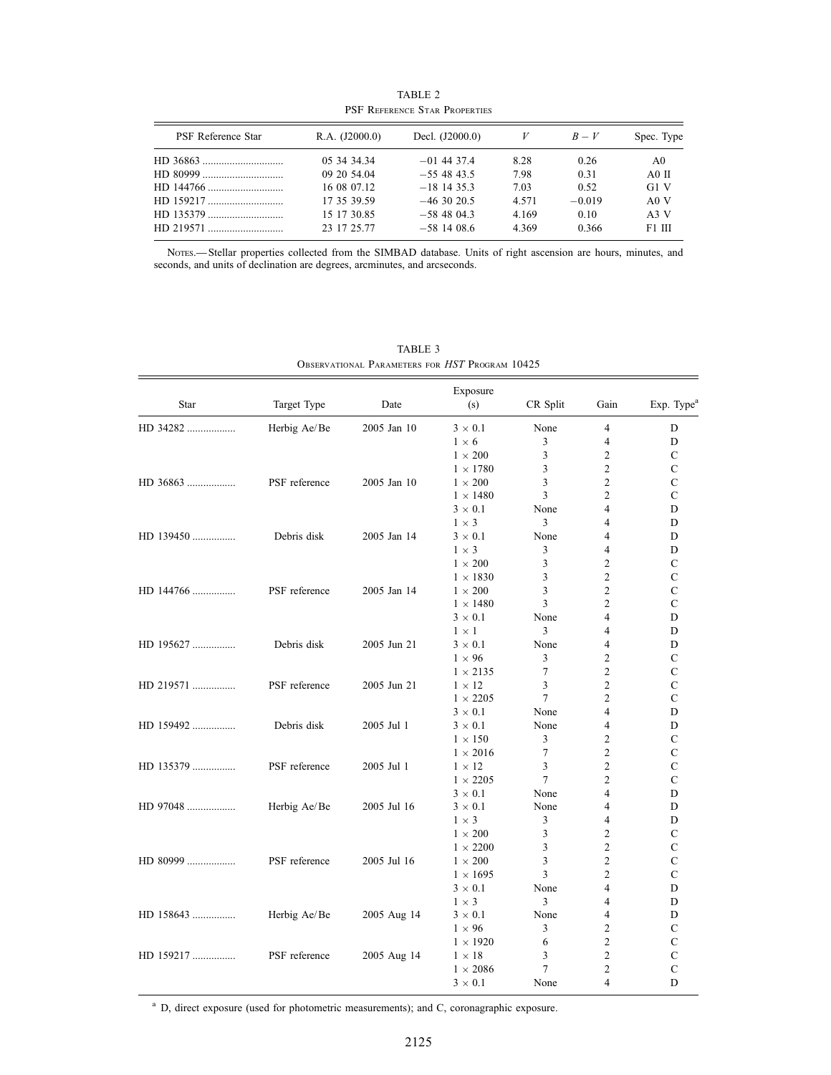| PSF REFERENCE STAR PROPERTIES |                |                 |       |          |                |  |  |  |  |
|-------------------------------|----------------|-----------------|-------|----------|----------------|--|--|--|--|
| PSF Reference Star            | R.A. (J2000.0) | Decl. (J2000.0) |       | $B-V$    | Spec. Type     |  |  |  |  |
|                               | 05 34 34 34    | $-01$ 44 37.4   | 8.28  | 0.26     | A <sub>0</sub> |  |  |  |  |
|                               | 09 20 54.04    | $-554843.5$     | 7.98  | 0.31     | $A0$ II        |  |  |  |  |
|                               | 16 08 07.12    | $-18$ 14 35.3   | 7.03  | 0.52     | G1 V           |  |  |  |  |
|                               | 17 35 39.59    | $-46,30,20.5$   | 4.571 | $-0.019$ | A0 V           |  |  |  |  |
|                               | 15 17 30.85    | $-58,48,04.3$   | 4.169 | 0.10     | A3 V           |  |  |  |  |
|                               | 23 17 25.77    | $-58$ 14 08.6   | 4.369 | 0.366    | F1 III         |  |  |  |  |

TABLE 2 PSF Reference Star Properties

Notes.—Stellar properties collected from the SIMBAD database. Units of right ascension are hours, minutes, and seconds, and units of declination are degrees, arcminutes, and arcseconds.

| Star      | Target Type   | Date        | Exposure<br>(s) | CR Split | Gain           | Exp. Type <sup>a</sup> |
|-----------|---------------|-------------|-----------------|----------|----------------|------------------------|
|           |               |             |                 |          |                |                        |
| HD 34282  | Herbig Ae/Be  | 2005 Jan 10 | $3 \times 0.1$  | None     | 4              | D                      |
|           |               |             | $1 \times 6$    | 3        | 4              | D                      |
|           |               |             | $1 \times 200$  | 3        | $\overline{c}$ | C                      |
|           |               |             | $1 \times 1780$ | 3        | 2              | C                      |
| HD 36863  | PSF reference | 2005 Jan 10 | $1 \times 200$  | 3        | $\overline{c}$ | $\mathcal{C}$          |
|           |               |             | $1 \times 1480$ | 3        | 2              | $\mathcal{C}$          |
|           |               |             | $3 \times 0.1$  | None     | 4              | D                      |
|           |               |             | $1 \times 3$    | 3        | 4              | D                      |
| HD 139450 | Debris disk   | 2005 Jan 14 | $3 \times 0.1$  | None     | 4              | D                      |
|           |               |             | $1 \times 3$    | 3        | 4              | D                      |
|           |               |             | $1 \times 200$  | 3        | 2              | C                      |
|           |               |             | $1 \times 1830$ | 3        | $\overline{c}$ | $\mathcal{C}$          |
| HD 144766 | PSF reference | 2005 Jan 14 | $1 \times 200$  | 3        | 2              | $\mathcal{C}$          |
|           |               |             | $1 \times 1480$ | 3        | $\overline{c}$ | $\mathcal{C}$          |
|           |               |             | $3 \times 0.1$  | None     | 4              | D                      |
|           |               |             | $1 \times 1$    | 3        | 4              | D                      |
| HD 195627 | Debris disk   | 2005 Jun 21 | $3 \times 0.1$  | None     | 4              | D                      |
|           |               |             | $1 \times 96$   | 3        | 2              | C                      |
|           |               |             | $1 \times 2135$ | 7        | 2              | $\mathcal{C}$          |
| HD 219571 | PSF reference | 2005 Jun 21 | $1 \times 12$   | 3        | $\overline{c}$ | C                      |
|           |               |             | $1 \times 2205$ | 7        | $\overline{c}$ | C                      |
|           |               |             | $3 \times 0.1$  | None     | 4              | D                      |
| HD 159492 | Debris disk   | 2005 Jul 1  | $3 \times 0.1$  | None     | 4              | D                      |
|           |               |             | $1 \times 150$  | 3        | $\overline{c}$ | C                      |
|           |               |             | $1 \times 2016$ | 7        | 2              | C                      |
| HD 135379 | PSF reference | 2005 Jul 1  | $1 \times 12$   | 3        | $\overline{c}$ | $\mathcal{C}$          |
|           |               |             | $1 \times 2205$ | 7        | 2              | $\mathcal{C}$          |
|           |               |             | $3 \times 0.1$  | None     | 4              | D                      |
| HD 97048  | Herbig Ae/Be  | 2005 Jul 16 | $3 \times 0.1$  | None     | 4              | D                      |
|           |               |             | $1 \times 3$    | 3        | 4              | D                      |
|           |               |             | $1 \times 200$  | 3        | $\overline{c}$ | $\mathcal{C}$          |
|           |               |             | $1 \times 2200$ | 3        | 2              | C                      |
| HD 80999  | PSF reference | 2005 Jul 16 | $1 \times 200$  | 3        | $\overline{c}$ | $\mathcal{C}$          |
|           |               |             | $1 \times 1695$ | 3        | $\overline{c}$ | $\mathbf C$            |
|           |               |             | $3 \times 0.1$  | None     | 4              | D                      |
|           |               |             | $1 \times 3$    | 3        | 4              | D                      |
| HD 158643 | Herbig Ae/Be  | 2005 Aug 14 | $3 \times 0.1$  | None     | 4              | D                      |
|           |               |             | $1 \times 96$   | 3        | 2              | $\mathbf C$            |
|           |               |             | $1 \times 1920$ | 6        | 2              | C                      |
| HD 159217 | PSF reference | 2005 Aug 14 | $1 \times 18$   | 3        | $\overline{c}$ | $\mathcal{C}$          |
|           |               |             | $1 \times 2086$ | 7        | $\overline{c}$ | $\mathsf{C}$           |
|           |               |             | $3 \times 0.1$  | None     | 4              | D                      |
|           |               |             |                 |          |                |                        |

TABLE 3 Observational Parameters for HST Program 10425

<sup>a</sup> D, direct exposure (used for photometric measurements); and C, coronagraphic exposure.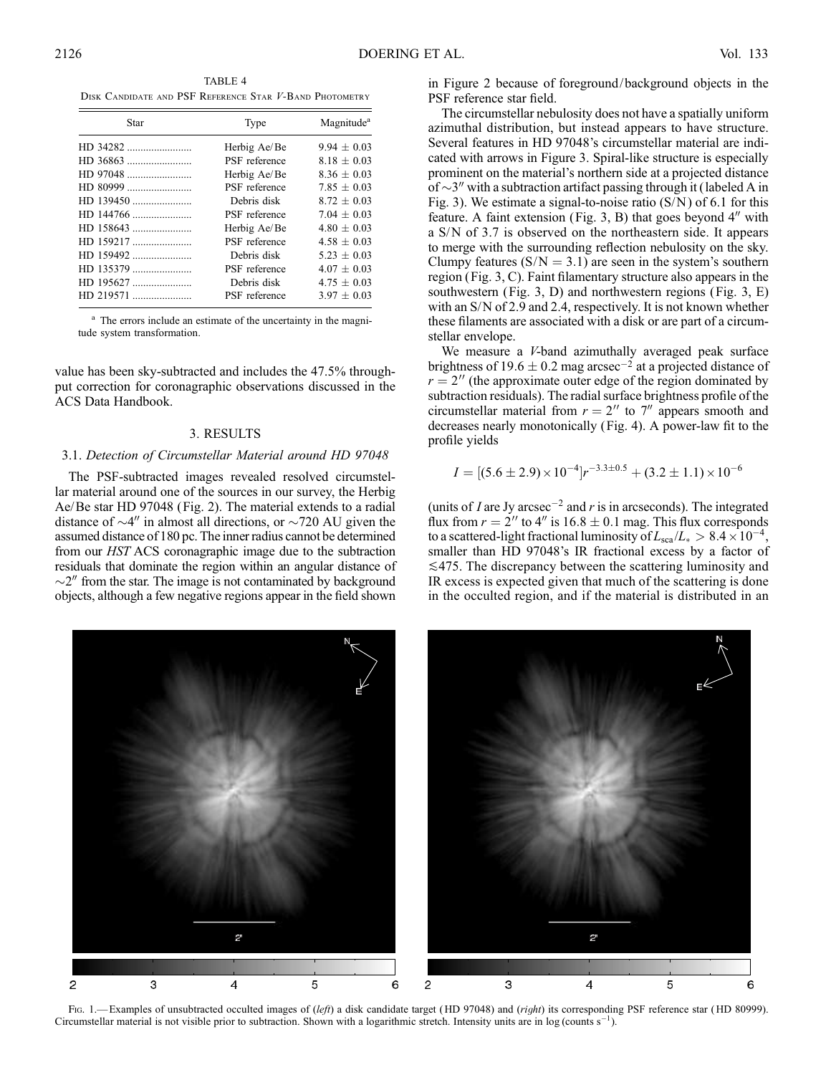TABLE 4 Disk Candidate and PSF Reference Star V-Band Photometry

| Star      | Type          | Magnitude <sup>a</sup> |
|-----------|---------------|------------------------|
|           | Herbig Ae/Be  | $9.94 \pm 0.03$        |
|           | PSF reference | $8.18 \pm 0.03$        |
| HD 97048  | Herbig Ae/Be  | $8.36 + 0.03$          |
| HD 80999  | PSF reference | $7.85 + 0.03$          |
| HD 139450 | Debris disk   | $8.72 + 0.03$          |
| HD 144766 | PSF reference | $7.04 + 0.03$          |
|           | Herbig Ae/Be  | $4.80 + 0.03$          |
| HD 159217 | PSF reference | $4.58 + 0.03$          |
| HD 159492 | Debris disk   | $5.23 \pm 0.03$        |
| HD 135379 | PSF reference | $4.07 + 0.03$          |
| HD 195627 | Debris disk   | $4.75 \pm 0.03$        |
| HD 219571 | PSF reference | $3.97 + 0.03$          |

<sup>a</sup> The errors include an estimate of the uncertainty in the magnitude system transformation.

value has been sky-subtracted and includes the 47.5% throughput correction for coronagraphic observations discussed in the ACS Data Handbook.

## 3. RESULTS

# 3.1. Detection of Circumstellar Material around HD 97048

The PSF-subtracted images revealed resolved circumstellar material around one of the sources in our survey, the Herbig Ae/Be star HD 97048 (Fig. 2). The material extends to a radial distance of  $\sim$ 4" in almost all directions, or  $\sim$ 720 AU given the assumed distance of 180 pc. The inner radius cannot be determined from our HST ACS coronagraphic image due to the subtraction residuals that dominate the region within an angular distance of  $\sim$ 2" from the star. The image is not contaminated by background objects, although a few negative regions appear in the field shown

in Figure 2 because of foreground/ background objects in the PSF reference star field.

The circumstellar nebulosity does not have a spatially uniform azimuthal distribution, but instead appears to have structure. Several features in HD 97048's circumstellar material are indicated with arrows in Figure 3. Spiral-like structure is especially prominent on the material's northern side at a projected distance of  $\sim$ 3" with a subtraction artifact passing through it (labeled A in Fig. 3). We estimate a signal-to-noise ratio  $(S/N)$  of 6.1 for this feature. A faint extension (Fig. 3, B) that goes beyond  $4<sup>0</sup>$  with a S/N of 3.7 is observed on the northeastern side. It appears to merge with the surrounding reflection nebulosity on the sky. Clumpy features  $(S/N = 3.1)$  are seen in the system's southern region (Fig. 3, C). Faint filamentary structure also appears in the southwestern (Fig. 3, D) and northwestern regions (Fig. 3, E) with an S/N of 2.9 and 2.4, respectively. It is not known whether these filaments are associated with a disk or are part of a circumstellar envelope.

We measure a V-band azimuthally averaged peak surface brightness of 19.6  $\pm$  0.2 mag arcsec<sup>-2</sup> at a projected distance of  $r = 2$ <sup>n</sup> (the approximate outer edge of the region dominated by subtraction residuals). The radial surface brightness profile of the circumstellar material from  $r = 2''$  to 7<sup>"</sup> appears smooth and decreases nearly monotonically (Fig. 4). A power-law fit to the profile yields

$$
I = [(5.6 \pm 2.9) \times 10^{-4}]r^{-3.3 \pm 0.5} + (3.2 \pm 1.1) \times 10^{-6}
$$

(units of I are Jy arcsec<sup>-2</sup> and r is in arcseconds). The integrated flux from  $r = 2$ <sup>"</sup> to 4<sup>"</sup> is 16.8  $\pm$  0.1 mag. This flux corresponds to a scattered-light fractional luminosity of  $L_{\rm sca}/L_{*} > 8.4 \times 10^{-4}$ , smaller than HD 97048's IR fractional excess by a factor of  $\leq$ 475. The discrepancy between the scattering luminosity and IR excess is expected given that much of the scattering is done in the occulted region, and if the material is distributed in an



Fig. 1.—Examples of unsubtracted occulted images of (left) a disk candidate target (HD 97048) and (right) its corresponding PSF reference star (HD 80999). Circumstellar material is not visible prior to subtraction. Shown with a logarithmic stretch. Intensity units are in log (counts  $s^{-1}$ ).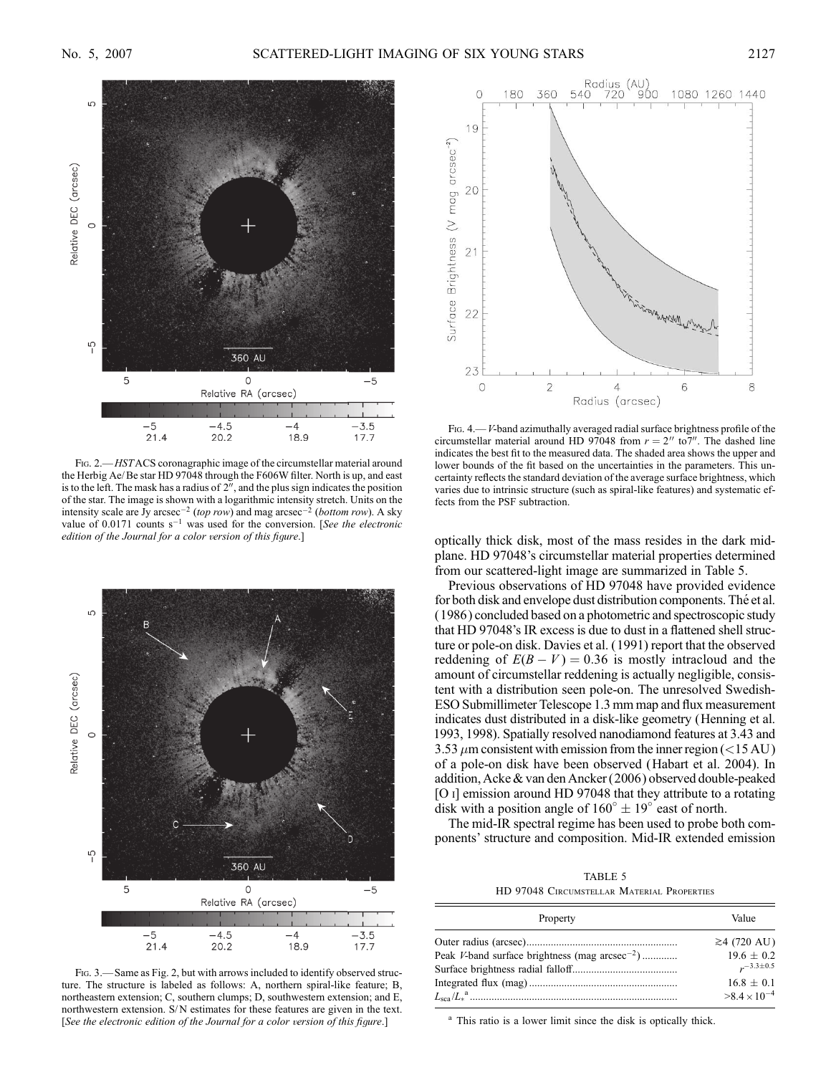

FIG. 2.—HSTACS coronagraphic image of the circumstellar material around the Herbig Ae/ Be star HD 97048 through the F606W filter. North is up, and east is to the left. The mask has a radius of  $2^{\overline{\gamma}}$ , and the plus sign indicates the position of the star. The image is shown with a logarithmic intensity stretch. Units on the intensity scale are  $Jy$  arcsec<sup>-2</sup> (top row) and mag arcsec<sup>-2</sup> (bottom row). A sky value of  $0.0171$  counts  $s^{-1}$  was used for the conversion. [See the electronic edition of the Journal for a color version of this figure.]



FIG. 3. - Same as Fig. 2, but with arrows included to identify observed structure. The structure is labeled as follows: A, northern spiral-like feature; B, northeastern extension; C, southern clumps; D, southwestern extension; and E, northwestern extension. S/N estimates for these features are given in the text. [See the electronic edition of the Journal for a color version of this figure.]



Fig. 4.—V-band azimuthally averaged radial surface brightness profile of the circumstellar material around HD 97048 from  $r = 2''$  to  $7''$ . The dashed line indicates the best fit to the measured data. The shaded area shows the upper and lower bounds of the fit based on the uncertainties in the parameters. This uncertainty reflects the standard deviation of the average surface brightness, which varies due to intrinsic structure (such as spiral-like features) and systematic effects from the PSF subtraction.

optically thick disk, most of the mass resides in the dark midplane. HD 97048's circumstellar material properties determined from our scattered-light image are summarized in Table 5.

Previous observations of HD 97048 have provided evidence for both disk and envelope dust distribution components. The et al. (1986 ) concluded based on a photometric and spectroscopic study that HD 97048's IR excess is due to dust in a flattened shell structure or pole-on disk. Davies et al. (1991) report that the observed reddening of  $E(B - V) = 0.36$  is mostly intracloud and the amount of circumstellar reddening is actually negligible, consistent with a distribution seen pole-on. The unresolved Swedish-ESO Submillimeter Telescope 1.3 mm map and flux measurement indicates dust distributed in a disk-like geometry (Henning et al. 1993, 1998). Spatially resolved nanodiamond features at 3.43 and 3.53  $\mu$ m consistent with emission from the inner region (<15 AU) of a pole-on disk have been observed (Habart et al. 2004). In addition, Acke & van den Ancker (2006) observed double-peaked [O i] emission around HD 97048 that they attribute to a rotating disk with a position angle of  $160^\circ \pm 19^\circ$  east of north.

The mid-IR spectral regime has been used to probe both components' structure and composition. Mid-IR extended emission

TABLE 5 HD 97048 Circumstellar Material Properties

| Property                                                  | Value                         |
|-----------------------------------------------------------|-------------------------------|
| Peak <i>V</i> -band surface brightness (mag $\arccos 2$ ) | $≥4$ (720 AU)<br>$19.6 + 0.2$ |
|                                                           | $r^{-3.3\pm0.5}$              |
|                                                           | $16.8 + 0.1$                  |
|                                                           | $>8.4\times10^{-4}$           |

<sup>a</sup> This ratio is a lower limit since the disk is optically thick.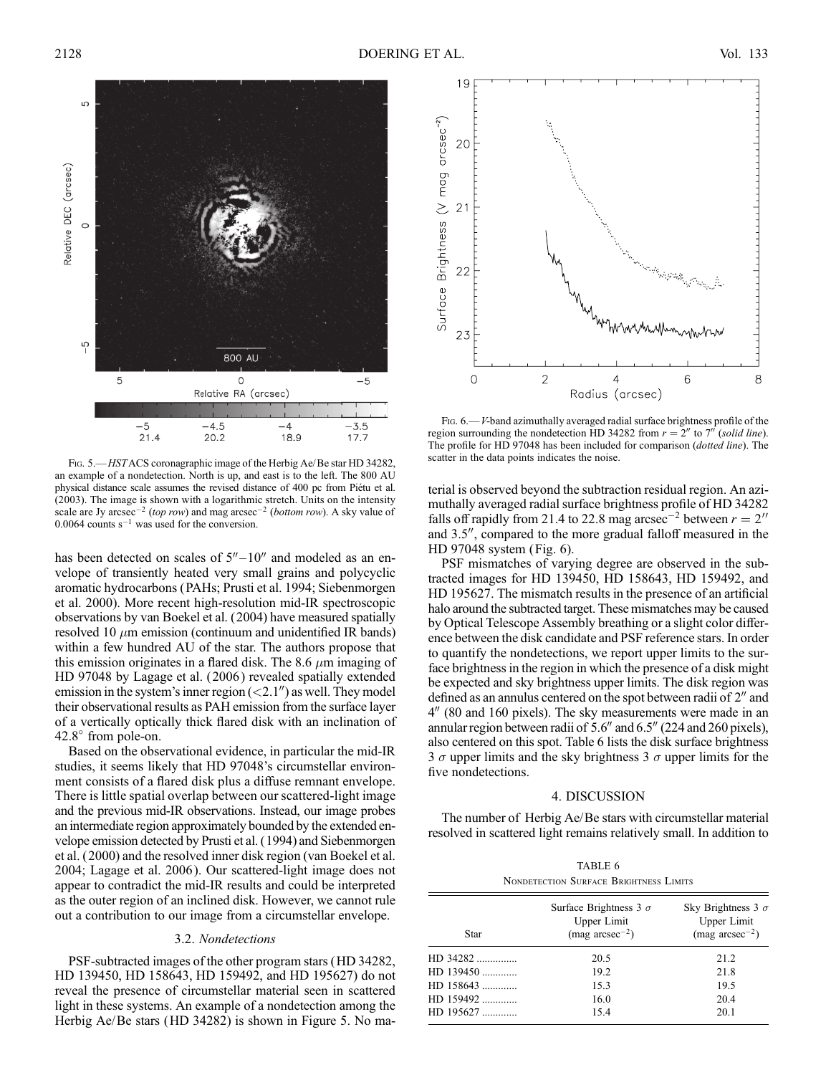

Fig. 5.—HSTACS coronagraphic image of the Herbig Ae/Be star HD 34282, an example of a nondetection. North is up, and east is to the left. The 800 AU physical distance scale assumes the revised distance of 400 pc from Piétu et al. (2003). The image is shown with a logarithmic stretch. Units on the intensity scale are Jy arcsec<sup>-2</sup> (top row) and mag arcsec<sup>-2</sup> (bottom row). A sky value of 0.0064 counts  $s^{-1}$  was used for the conversion.

has been detected on scales of  $5''-10''$  and modeled as an envelope of transiently heated very small grains and polycyclic aromatic hydrocarbons (PAHs; Prusti et al. 1994; Siebenmorgen et al. 2000). More recent high-resolution mid-IR spectroscopic observations by van Boekel et al. (2004) have measured spatially resolved 10  $\mu$ m emission (continuum and unidentified IR bands) within a few hundred AU of the star. The authors propose that this emission originates in a flared disk. The 8.6  $\mu$ m imaging of HD 97048 by Lagage et al. (2006 ) revealed spatially extended emission in the system's inner region  $\left( \langle 2.1'' \rangle \right)$  as well. They model their observational results as PAH emission from the surface layer of a vertically optically thick flared disk with an inclination of  $42.8^{\circ}$  from pole-on.

Based on the observational evidence, in particular the mid-IR studies, it seems likely that HD 97048's circumstellar environment consists of a flared disk plus a diffuse remnant envelope. There is little spatial overlap between our scattered-light image and the previous mid-IR observations. Instead, our image probes an intermediate region approximately bounded by the extended envelope emission detected by Prusti et al. (1994) and Siebenmorgen et al. ( 2000) and the resolved inner disk region (van Boekel et al. 2004; Lagage et al. 2006 ). Our scattered-light image does not appear to contradict the mid-IR results and could be interpreted as the outer region of an inclined disk. However, we cannot rule out a contribution to our image from a circumstellar envelope.

### 3.2. Nondetections

PSF-subtracted images of the other program stars (HD 34282, HD 139450, HD 158643, HD 159492, and HD 195627) do not reveal the presence of circumstellar material seen in scattered light in these systems. An example of a nondetection among the Herbig Ae/Be stars (HD 34282) is shown in Figure 5. No ma-



Fig. 6.—V-band azimuthally averaged radial surface brightness profile of the region surrounding the nondetection HD 34282 from  $r = 2^n$  to  $7^n$  (solid line). The profile for HD 97048 has been included for comparison (dotted line). The scatter in the data points indicates the noise.

terial is observed beyond the subtraction residual region. An azimuthally averaged radial surface brightness profile of HD 34282 falls off rapidly from 21.4 to 22.8 mag arcsec<sup>-2</sup> between  $r = 2<sup>0</sup>$ and 3.5", compared to the more gradual falloff measured in the HD 97048 system (Fig. 6).

PSF mismatches of varying degree are observed in the subtracted images for HD 139450, HD 158643, HD 159492, and HD 195627. The mismatch results in the presence of an artificial halo around the subtracted target. These mismatches may be caused by Optical Telescope Assembly breathing or a slight color difference between the disk candidate and PSF reference stars. In order to quantify the nondetections, we report upper limits to the surface brightness in the region in which the presence of a disk might be expected and sky brightness upper limits. The disk region was defined as an annulus centered on the spot between radii of  $2<sup>n</sup>$  and  $4''$  (80 and 160 pixels). The sky measurements were made in an annular region between radii of  $5.6''$  and  $6.5''$  (224 and 260 pixels), also centered on this spot. Table 6 lists the disk surface brightness 3  $\sigma$  upper limits and the sky brightness 3  $\sigma$  upper limits for the five nondetections.

#### 4. DISCUSSION

The number of Herbig Ae/Be stars with circumstellar material resolved in scattered light remains relatively small. In addition to

TABLE 6 Nondetection Surface Brightness Limits

| Star      | Surface Brightness 3 $\sigma$<br>Upper Limit<br>$(mag arcsec^{-2})$ | Sky Brightness 3 $\sigma$<br>Upper Limit<br>$(mag arcsec^{-2})$ |
|-----------|---------------------------------------------------------------------|-----------------------------------------------------------------|
| HD 34282  | 20.5                                                                | 21.2                                                            |
| HD 139450 | 19.2                                                                | 21.8                                                            |
| HD 158643 | 15.3                                                                | 19.5                                                            |
| HD 159492 | 16.0                                                                | 20.4                                                            |
| HD 195627 | 15.4                                                                | 20.1                                                            |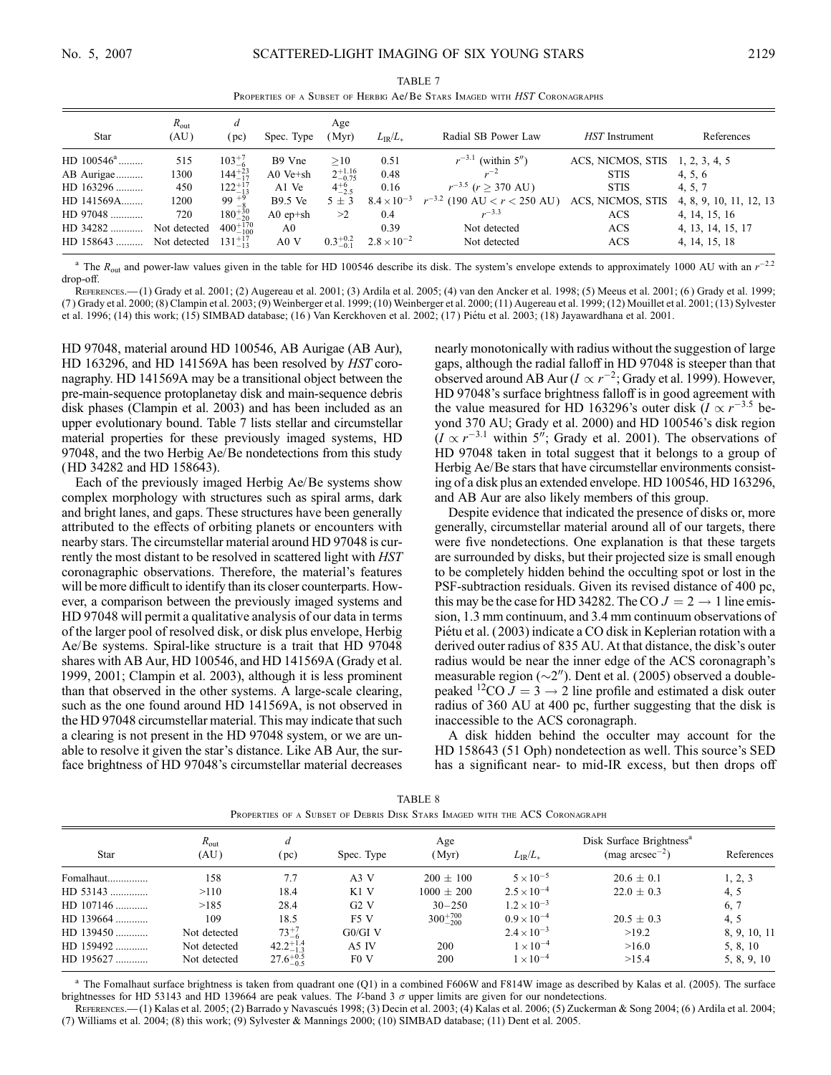TABLE 7 PROPERTIES OF A SUBSET OF HERBIG Ae/ Be STARS IMAGED WITH HST CORONAGRAPHS

| Star          | $R_{\text{out}}$<br>(AU) | d<br>(pc)           | Spec. Type     | Age<br>(Myr)        | $L_{IR}/L_{*}$       | Radial SB Power Law                    | HST Instrument    | References              |
|---------------|--------------------------|---------------------|----------------|---------------------|----------------------|----------------------------------------|-------------------|-------------------------|
| $HD 100546^a$ | 515                      | $103^{+7}_{-6}$     | B9 Vne         | >10                 | 0.51                 | $r^{-3.1}$ (within 5")                 | ACS, NICMOS, STIS | 1, 2, 3, 4, 5           |
| AB Aurigae    | 1300                     | $144^{+23}_{-17}$   | $A0$ Ve $+sh$  | $2^{+1.16}_{-0.75}$ | 0.48                 | $r^{-2}$                               | <b>STIS</b>       | 4, 5, 6                 |
| $HD$ 163296   | 450                      | $122^{+17}_{-13}$   | A1 Ve          | $4^{+6}_{-2.5}$     | 0.16                 | $r^{-3.5}$ (r > 370 AU)                | <b>STIS</b>       | 4, 5, 7                 |
| HD 141569A    | 1200                     | $99 + \frac{9}{8}$  | <b>B9.5 Ve</b> | $5 \pm 3$           | $8.4 \times 10^{-3}$ | $r^{-3.2}$ (190 AU $\lt r \lt 250$ AU) | ACS, NICMOS, STIS | 4, 8, 9, 10, 11, 12, 13 |
| HD 97048      | 720                      | $180^{+30}_{-20}$   | A0 $ep+sh$     | >2                  | 0.4                  | $r^{-3.3}$                             | ACS               | 4, 14, 15, 16           |
| HD 34282      | Not detected             | $400^{+170}_{-100}$ | A0             |                     | 0.39                 | Not detected                           | <b>ACS</b>        | 4, 13, 14, 15, 17       |
| HD 158643     | Not detected             | $131^{+17}_{-13}$   | A0 V           | $0.3^{+0.2}_{-0.1}$ | $2.8 \times 10^{-2}$ | Not detected                           | ACS               | 4, 14, 15, 18           |

<sup>a</sup> The  $R_{\text{out}}$  and power-law values given in the table for HD 100546 describe its disk. The system's envelope extends to approximately 1000 AU with an  $r^{-2.2}$ drop-off.

References.—(1) Grady et al. 2001; (2) Augereau et al. 2001; (3) Ardila et al. 2005; (4) van den Ancker et al. 1998; (5) Meeus et al. 2001; (6 ) Grady et al. 1999; (7 ) Grady et al. 2000; (8) Clampin et al. 2003; (9) Weinberger et al. 1999; (10) Weinberger et al. 2000; (11) Augereau et al. 1999; (12) Mouillet et al. 2001; (13) Sylvester et al. 1996; (14) this work; (15) SIMBAD database; (16) Van Kerckhoven et al. 2002; (17) Piétu et al. 2003; (18) Jayawardhana et al. 2001.

HD 97048, material around HD 100546, AB Aurigae (AB Aur), HD 163296, and HD 141569A has been resolved by HST coronagraphy. HD 141569A may be a transitional object between the pre-main-sequence protoplanetay disk and main-sequence debris disk phases (Clampin et al. 2003) and has been included as an upper evolutionary bound. Table 7 lists stellar and circumstellar material properties for these previously imaged systems, HD 97048, and the two Herbig Ae/Be nondetections from this study (HD 34282 and HD 158643).

Each of the previously imaged Herbig Ae/Be systems show complex morphology with structures such as spiral arms, dark and bright lanes, and gaps. These structures have been generally attributed to the effects of orbiting planets or encounters with nearby stars. The circumstellar material around HD 97048 is currently the most distant to be resolved in scattered light with HST coronagraphic observations. Therefore, the material's features will be more difficult to identify than its closer counterparts. However, a comparison between the previously imaged systems and HD 97048 will permit a qualitative analysis of our data in terms of the larger pool of resolved disk, or disk plus envelope, Herbig Ae/Be systems. Spiral-like structure is a trait that HD 97048 shares with AB Aur, HD 100546, and HD 141569A (Grady et al. 1999, 2001; Clampin et al. 2003), although it is less prominent than that observed in the other systems. A large-scale clearing, such as the one found around HD 141569A, is not observed in the HD 97048 circumstellar material. This may indicate that such a clearing is not present in the HD 97048 system, or we are unable to resolve it given the star's distance. Like AB Aur, the surface brightness of HD 97048's circumstellar material decreases

nearly monotonically with radius without the suggestion of large gaps, although the radial falloff in HD 97048 is steeper than that observed around AB Aur ( $I \propto r^{-2}$ ; Grady et al. 1999). However, HD 97048's surface brightness falloff is in good agreement with the value measured for HD 163296's outer disk ( $I \propto r^{-3.5}$  beyond 370 AU; Grady et al. 2000) and HD 100546's disk region  $(I \propto r^{-3.1}$  within 5"; Grady et al. 2001). The observations of HD 97048 taken in total suggest that it belongs to a group of Herbig Ae/Be stars that have circumstellar environments consisting of a disk plus an extended envelope. HD 100546, HD 163296, and AB Aur are also likely members of this group.

Despite evidence that indicated the presence of disks or, more generally, circumstellar material around all of our targets, there were five nondetections. One explanation is that these targets are surrounded by disks, but their projected size is small enough to be completely hidden behind the occulting spot or lost in the PSF-subtraction residuals. Given its revised distance of 400 pc, this may be the case for HD 34282. The CO  $J = 2 \rightarrow 1$  line emission, 1.3 mm continuum, and 3.4 mm continuum observations of Piétu et al. (2003) indicate a CO disk in Keplerian rotation with a derived outer radius of 835 AU. At that distance, the disk's outer radius would be near the inner edge of the ACS coronagraph's measurable region  $(\sim 2'')$ . Dent et al. (2005) observed a doublepeaked <sup>12</sup>CO  $J = 3 \rightarrow 2$  line profile and estimated a disk outer radius of 360 AU at 400 pc, further suggesting that the disk is inaccessible to the ACS coronagraph.

A disk hidden behind the occulter may account for the HD 158643 (51 Oph) nondetection as well. This source's SED has a significant near- to mid-IR excess, but then drops off

| TABLE 8 |  |                                                                             |  |  |  |  |  |  |  |
|---------|--|-----------------------------------------------------------------------------|--|--|--|--|--|--|--|
|         |  | Properties of a Subset of Debris Disk Stars Imaged with the ACS Coronagraph |  |  |  |  |  |  |  |

| <b>Star</b> | $R_{\text{out}}$<br>(AU) | d<br>(pc)            | Spec. Type       | Age<br>(Myr)        | $L_{IR}/L_{*}$       | Disk Surface Brightness <sup>a</sup><br>$(mag arcsec^{-2})$ | References   |
|-------------|--------------------------|----------------------|------------------|---------------------|----------------------|-------------------------------------------------------------|--------------|
| Fomalhaut   | 158                      | 7.7                  | A3V              | $200 + 100$         | $5 \times 10^{-5}$   | $20.6 \pm 0.1$                                              | 1, 2, 3      |
| $HD$ 53143  | >110                     | 18.4                 | $K1$ V           | $1000 \pm 200$      | $2.5 \times 10^{-4}$ | $22.0 \pm 0.3$                                              | 4, 5         |
| HD 107146   | >185                     | 28.4                 | G2V              | $30 - 250$          | $1.2 \times 10^{-3}$ |                                                             | 6, 7         |
| HD 139664   | 109                      | 18.5                 | F <sub>5</sub> V | $300^{+700}_{-200}$ | $0.9 \times 10^{-4}$ | $20.5 \pm 0.3$                                              | 4, 5         |
| HD 139450   | Not detected             | $73^{+7}_{-6}$       | $G0/GI$ V        |                     | $2.4 \times 10^{-3}$ | >19.2                                                       | 8, 9, 10, 11 |
| HD 159492   | Not detected             | $42.2^{+1.4}_{-1.3}$ | A5 IV            | 200                 | $1 \times 10^{-4}$   | >16.0                                                       | 5, 8, 10     |
| HD 195627   | Not detected             | $27.6^{+0.5}_{-0.5}$ | F <sub>0</sub> V | 200                 | $1 \times 10^{-4}$   | >15.4                                                       | 5, 8, 9, 10  |

<sup>a</sup> The Fomalhaut surface brightness is taken from quadrant one (Q1) in a combined F606W and F814W image as described by Kalas et al. (2005). The surface brightnesses for HD 53143 and HD 139664 are peak values. The V-band 3  $\sigma$  upper limits are given for our nondetections.

REFERENCES.—(1) Kalas et al. 2005; (2) Barrado y Navascués 1998; (3) Decin et al. 2003; (4) Kalas et al. 2006; (5) Zuckerman & Song 2004; (6) Ardila et al. 2004; (7) Williams et al. 2004; (8) this work; (9) Sylvester & Mannings 2000; (10) SIMBAD database; (11) Dent et al. 2005.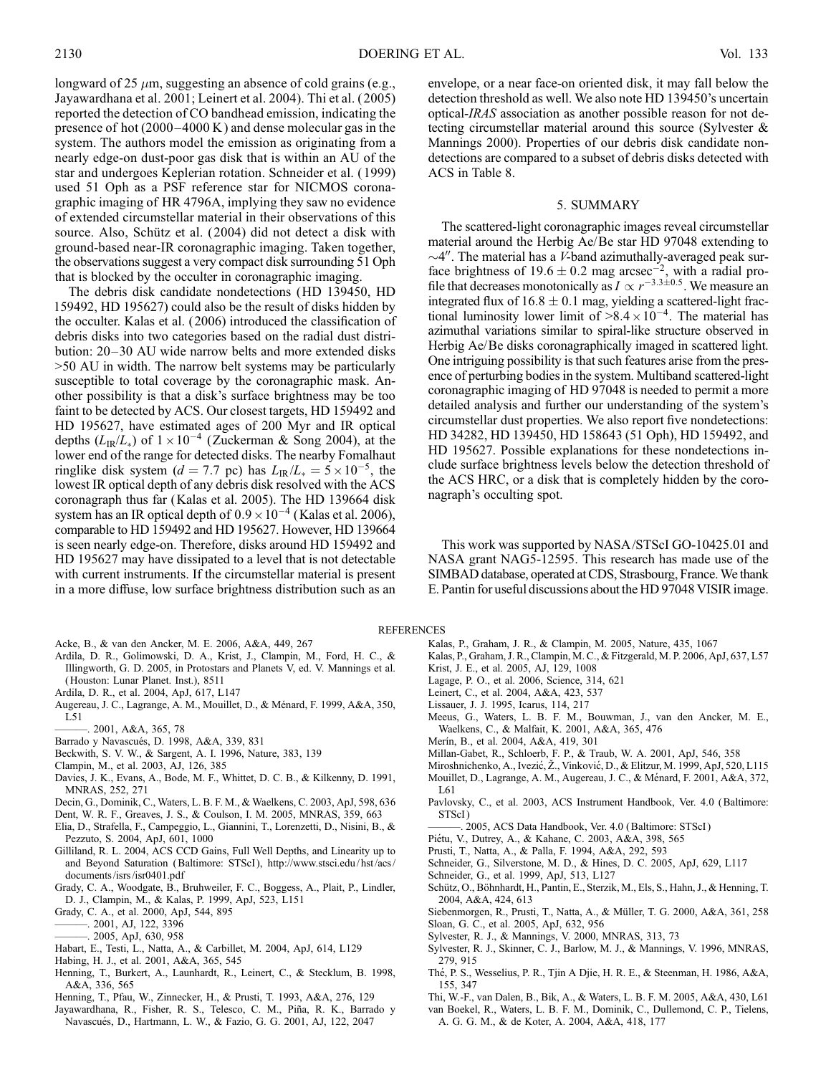longward of 25  $\mu$ m, suggesting an absence of cold grains (e.g., Jayawardhana et al. 2001; Leinert et al. 2004). Thi et al. ( 2005) reported the detection of CO bandhead emission, indicating the presence of hot  $(2000-4000 \text{ K})$  and dense molecular gas in the system. The authors model the emission as originating from a nearly edge-on dust-poor gas disk that is within an AU of the star and undergoes Keplerian rotation. Schneider et al. ( 1999) used 51 Oph as a PSF reference star for NICMOS coronagraphic imaging of HR 4796A, implying they saw no evidence of extended circumstellar material in their observations of this source. Also, Schütz et al. (2004) did not detect a disk with ground-based near-IR coronagraphic imaging. Taken together, the observations suggest a very compact disk surrounding 51 Oph that is blocked by the occulter in coronagraphic imaging.

The debris disk candidate nondetections (HD 139450, HD 159492, HD 195627) could also be the result of disks hidden by the occulter. Kalas et al. (2006) introduced the classification of debris disks into two categories based on the radial dust distribution: 20–30 AU wide narrow belts and more extended disks >50 AU in width. The narrow belt systems may be particularly susceptible to total coverage by the coronagraphic mask. Another possibility is that a disk's surface brightness may be too faint to be detected by ACS. Our closest targets, HD 159492 and HD 195627, have estimated ages of 200 Myr and IR optical depths  $(L_{IR}/L_*)$  of  $1 \times 10^{-4}$  (Zuckerman & Song 2004), at the lower end of the range for detected disks. The nearby Fomalhaut ringlike disk system (d = 7.7 pc) has  $L_{IR}/L_{*} = 5 \times 10^{-5}$ , the lowest IR optical depth of any debris disk resolved with the ACS coronagraph thus far (Kalas et al. 2005). The HD 139664 disk system has an IR optical depth of  $0.9 \times 10^{-4}$  (Kalas et al. 2006), comparable to HD 159492 and HD 195627. However, HD 139664 is seen nearly edge-on. Therefore, disks around HD 159492 and HD 195627 may have dissipated to a level that is not detectable with current instruments. If the circumstellar material is present in a more diffuse, low surface brightness distribution such as an

- Acke, B., & van den Ancker, M. E. 2006, A&A, 449, 267
- Ardila, D. R., Golimowski, D. A., Krist, J., Clampin, M., Ford, H. C., & Illingworth, G. D. 2005, in Protostars and Planets V, ed. V. Mannings et al. ( Houston: Lunar Planet. Inst.), 8511
- Ardila, D. R., et al. 2004, ApJ, 617, L147
- Augereau, J. C., Lagrange, A. M., Mouillet, D., & Ménard, F. 1999, A&A, 350,
- L51
- ———. 2001, A&A, 365, 78
- Barrado y Navascués, D. 1998, A&A, 339, 831
- Beckwith, S. V. W., & Sargent, A. I. 1996, Nature, 383, 139
- Clampin, M., et al. 2003, AJ, 126, 385
- Davies, J. K., Evans, A., Bode, M. F., Whittet, D. C. B., & Kilkenny, D. 1991, MNRAS, 252, 271
- Decin, G., Dominik, C., Waters, L. B. F. M., & Waelkens, C. 2003, ApJ, 598, 636
- Dent, W. R. F., Greaves, J. S., & Coulson, I. M. 2005, MNRAS, 359, 663
- Elia, D., Strafella, F., Campeggio, L., Giannini, T., Lorenzetti, D., Nisini, B., & Pezzuto, S. 2004, ApJ, 601, 1000
- Gilliland, R. L. 2004, ACS CCD Gains, Full Well Depths, and Linearity up to and Beyond Saturation (Baltimore: STScI ), http://www.stsci.edu/ hst/acs/ documents/isrs/isr0401.pdf
- Grady, C. A., Woodgate, B., Bruhweiler, F. C., Boggess, A., Plait, P., Lindler, D. J., Clampin, M., & Kalas, P. 1999, ApJ, 523, L151
- Grady, C. A., et al. 2000, ApJ, 544, 895
- ———. 2001, AJ, 122, 3396
- $-$ . 2005, ApJ, 630, 958
- Habart, E., Testi, L., Natta, A., & Carbillet, M. 2004, ApJ, 614, L129
- Habing, H. J., et al. 2001, A&A, 365, 545
- Henning, T., Burkert, A., Launhardt, R., Leinert, C., & Stecklum, B. 1998, A&A, 336, 565
- Henning, T., Pfau, W., Zinnecker, H., & Prusti, T. 1993, A&A, 276, 129
- Jayawardhana, R., Fisher, R. S., Telesco, C. M., Piña, R. K., Barrado y Navascués, D., Hartmann, L. W., & Fazio, G. G. 2001, AJ, 122, 2047

envelope, or a near face-on oriented disk, it may fall below the detection threshold as well. We also note HD 139450's uncertain optical-IRAS association as another possible reason for not detecting circumstellar material around this source (Sylvester & Mannings 2000). Properties of our debris disk candidate nondetections are compared to a subset of debris disks detected with ACS in Table 8.

#### 5. SUMMARY

The scattered-light coronagraphic images reveal circumstellar material around the Herbig Ae/Be star HD 97048 extending to  $\sim$ 4". The material has a V-band azimuthally-averaged peak surface brightness of 19.6  $\pm$  0.2 mag arcsec<sup>-2</sup>, with a radial profile that decreases monotonically as  $I \propto r^{-3.3\pm0.5}$ . We measure an integrated flux of  $16.8 \pm 0.1$  mag, yielding a scattered-light fractional luminosity lower limit of  $>8.4 \times 10^{-4}$ . The material has azimuthal variations similar to spiral-like structure observed in Herbig Ae/Be disks coronagraphically imaged in scattered light. One intriguing possibility is that such features arise from the presence of perturbing bodies in the system. Multiband scattered-light coronagraphic imaging of HD 97048 is needed to permit a more detailed analysis and further our understanding of the system's circumstellar dust properties. We also report five nondetections: HD 34282, HD 139450, HD 158643 (51 Oph), HD 159492, and HD 195627. Possible explanations for these nondetections include surface brightness levels below the detection threshold of the ACS HRC, or a disk that is completely hidden by the coronagraph's occulting spot.

This work was supported by NASA/STScI GO-10425.01 and NASA grant NAG5-12595. This research has made use of the SIMBAD database, operated at CDS, Strasbourg, France. We thank E. Pantin for useful discussions about the HD 97048 VISIR image.

## REFERENCES

- Kalas, P., Graham, J. R., & Clampin, M. 2005, Nature, 435, 1067
- Kalas, P., Graham, J. R., Clampin, M. C., & Fitzgerald, M. P. 2006, ApJ, 637, L57
- Krist, J. E., et al. 2005, AJ, 129, 1008
- Lagage, P. O., et al. 2006, Science, 314, 621
- Leinert, C., et al. 2004, A&A, 423, 537
- Lissauer, J. J. 1995, Icarus, 114, 217
- Meeus, G., Waters, L. B. F. M., Bouwman, J., van den Ancker, M. E., Waelkens, C., & Malfait, K. 2001, A&A, 365, 476
- Merín, B., et al. 2004, A&A, 419, 301
- Millan-Gabet, R., Schloerb, F. P., & Traub, W. A. 2001, ApJ, 546, 358
- Miroshnichenko, A., Ivezić, Ž., Vinković, D., & Elitzur, M. 1999, ApJ, 520, L115
- Mouillet, D., Lagrange, A. M., Augereau, J. C., & Ménard, F. 2001, A&A, 372, L61
- Pavlovsky, C., et al. 2003, ACS Instrument Handbook, Ver. 4.0 (Baltimore: STScI )
- -. 2005, ACS Data Handbook, Ver. 4.0 (Baltimore: STScI)
- Piétu, V., Dutrey, A., & Kahane, C. 2003, A&A, 398, 565
- Prusti, T., Natta, A., & Palla, F. 1994, A&A, 292, 593
- Schneider, G., Silverstone, M. D., & Hines, D. C. 2005, ApJ, 629, L117
- Schneider, G., et al. 1999, ApJ, 513, L127
- Schütz, O., Böhnhardt, H., Pantin, E., Sterzik, M., Els, S., Hahn, J., & Henning, T. 2004, A&A, 424, 613
- Siebenmorgen, R., Prusti, T., Natta, A., & Müller, T. G. 2000, A&A, 361, 258 Sloan, G. C., et al. 2005, ApJ, 632, 956
- Sylvester, R. J., & Mannings, V. 2000, MNRAS, 313, 73
- Sylvester, R. J., Skinner, C. J., Barlow, M. J., & Mannings, V. 1996, MNRAS, 279, 915
- The´, P. S., Wesselius, P. R., Tjin A Djie, H. R. E., & Steenman, H. 1986, A&A, 155, 347
- Thi, W.-F., van Dalen, B., Bik, A., & Waters, L. B. F. M. 2005, A&A, 430, L61
- van Boekel, R., Waters, L. B. F. M., Dominik, C., Dullemond, C. P., Tielens, A. G. G. M., & de Koter, A. 2004, A&A, 418, 177